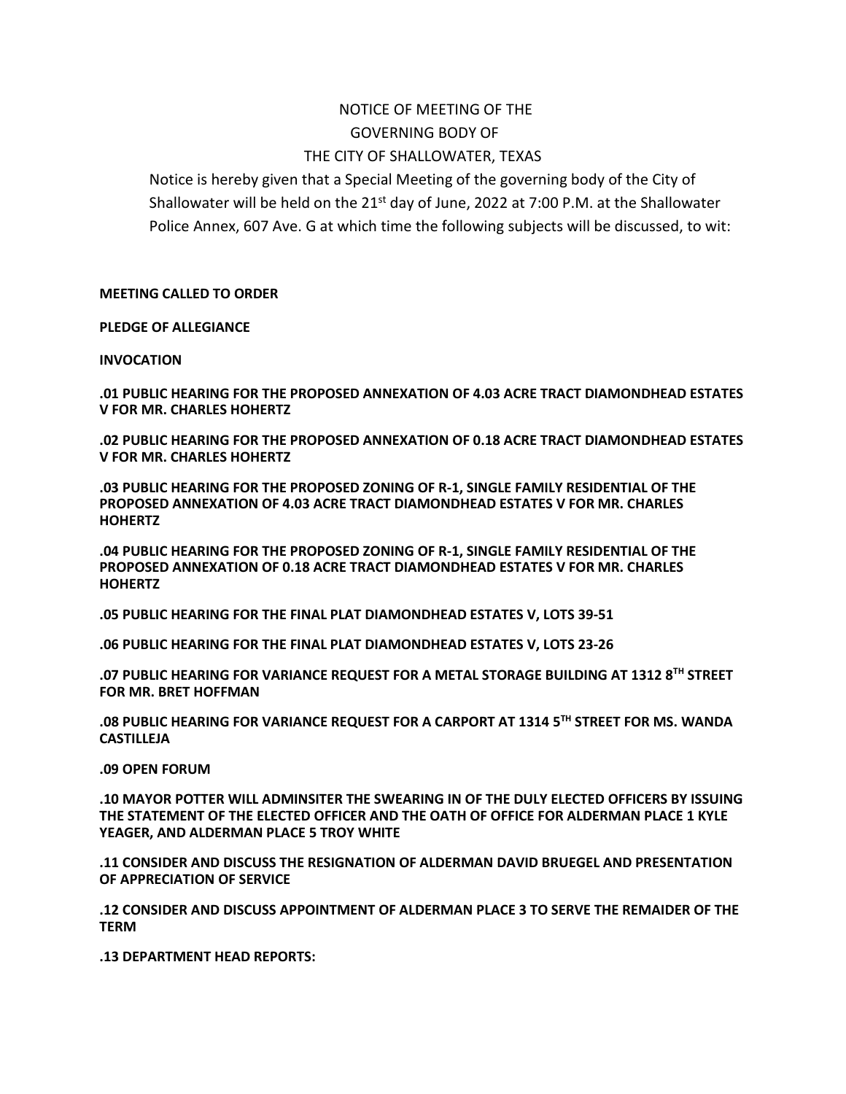## NOTICE OF MEETING OF THE GOVERNING BODY OF THE CITY OF SHALLOWATER, TEXAS

Notice is hereby given that a Special Meeting of the governing body of the City of Shallowater will be held on the  $21^{st}$  day of June, 2022 at 7:00 P.M. at the Shallowater Police Annex, 607 Ave. G at which time the following subjects will be discussed, to wit:

**MEETING CALLED TO ORDER**

**PLEDGE OF ALLEGIANCE**

## **INVOCATION**

**.01 PUBLIC HEARING FOR THE PROPOSED ANNEXATION OF 4.03 ACRE TRACT DIAMONDHEAD ESTATES V FOR MR. CHARLES HOHERTZ**

**.02 PUBLIC HEARING FOR THE PROPOSED ANNEXATION OF 0.18 ACRE TRACT DIAMONDHEAD ESTATES V FOR MR. CHARLES HOHERTZ** 

**.03 PUBLIC HEARING FOR THE PROPOSED ZONING OF R-1, SINGLE FAMILY RESIDENTIAL OF THE PROPOSED ANNEXATION OF 4.03 ACRE TRACT DIAMONDHEAD ESTATES V FOR MR. CHARLES HOHERTZ**

**.04 PUBLIC HEARING FOR THE PROPOSED ZONING OF R-1, SINGLE FAMILY RESIDENTIAL OF THE PROPOSED ANNEXATION OF 0.18 ACRE TRACT DIAMONDHEAD ESTATES V FOR MR. CHARLES HOHERTZ**

**.05 PUBLIC HEARING FOR THE FINAL PLAT DIAMONDHEAD ESTATES V, LOTS 39-51**

**.06 PUBLIC HEARING FOR THE FINAL PLAT DIAMONDHEAD ESTATES V, LOTS 23-26**

**.07 PUBLIC HEARING FOR VARIANCE REQUEST FOR A METAL STORAGE BUILDING AT 1312 8TH STREET FOR MR. BRET HOFFMAN** 

**.08 PUBLIC HEARING FOR VARIANCE REQUEST FOR A CARPORT AT 1314 5TH STREET FOR MS. WANDA CASTILLEJA**

**.09 OPEN FORUM** 

**.10 MAYOR POTTER WILL ADMINSITER THE SWEARING IN OF THE DULY ELECTED OFFICERS BY ISSUING THE STATEMENT OF THE ELECTED OFFICER AND THE OATH OF OFFICE FOR ALDERMAN PLACE 1 KYLE YEAGER, AND ALDERMAN PLACE 5 TROY WHITE**

**.11 CONSIDER AND DISCUSS THE RESIGNATION OF ALDERMAN DAVID BRUEGEL AND PRESENTATION OF APPRECIATION OF SERVICE**

**.12 CONSIDER AND DISCUSS APPOINTMENT OF ALDERMAN PLACE 3 TO SERVE THE REMAIDER OF THE TERM**

**.13 DEPARTMENT HEAD REPORTS:**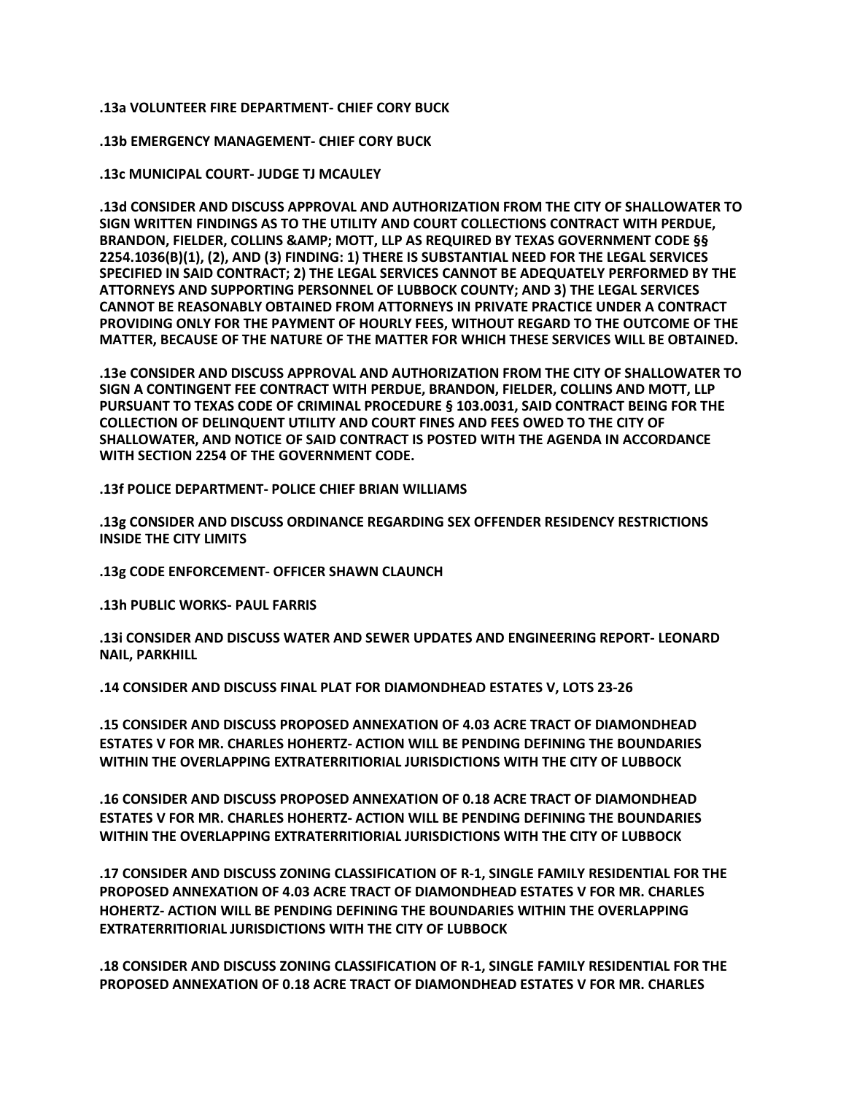**.13a VOLUNTEER FIRE DEPARTMENT- CHIEF CORY BUCK** 

**.13b EMERGENCY MANAGEMENT- CHIEF CORY BUCK**

**.13c MUNICIPAL COURT- JUDGE TJ MCAULEY**

**.13d CONSIDER AND DISCUSS APPROVAL AND AUTHORIZATION FROM THE CITY OF SHALLOWATER TO SIGN WRITTEN FINDINGS AS TO THE UTILITY AND COURT COLLECTIONS CONTRACT WITH PERDUE, BRANDON, FIELDER, COLLINS & MOTT, LLP AS REQUIRED BY TEXAS GOVERNMENT CODE §§ 2254.1036(B)(1), (2), AND (3) FINDING: 1) THERE IS SUBSTANTIAL NEED FOR THE LEGAL SERVICES SPECIFIED IN SAID CONTRACT; 2) THE LEGAL SERVICES CANNOT BE ADEQUATELY PERFORMED BY THE ATTORNEYS AND SUPPORTING PERSONNEL OF LUBBOCK COUNTY; AND 3) THE LEGAL SERVICES CANNOT BE REASONABLY OBTAINED FROM ATTORNEYS IN PRIVATE PRACTICE UNDER A CONTRACT PROVIDING ONLY FOR THE PAYMENT OF HOURLY FEES, WITHOUT REGARD TO THE OUTCOME OF THE MATTER, BECAUSE OF THE NATURE OF THE MATTER FOR WHICH THESE SERVICES WILL BE OBTAINED.**

**.13e CONSIDER AND DISCUSS APPROVAL AND AUTHORIZATION FROM THE CITY OF SHALLOWATER TO SIGN A CONTINGENT FEE CONTRACT WITH PERDUE, BRANDON, FIELDER, COLLINS AND MOTT, LLP PURSUANT TO TEXAS CODE OF CRIMINAL PROCEDURE § 103.0031, SAID CONTRACT BEING FOR THE COLLECTION OF DELINQUENT UTILITY AND COURT FINES AND FEES OWED TO THE CITY OF SHALLOWATER, AND NOTICE OF SAID CONTRACT IS POSTED WITH THE AGENDA IN ACCORDANCE WITH SECTION 2254 OF THE GOVERNMENT CODE.**

**.13f POLICE DEPARTMENT- POLICE CHIEF BRIAN WILLIAMS** 

**.13g CONSIDER AND DISCUSS ORDINANCE REGARDING SEX OFFENDER RESIDENCY RESTRICTIONS INSIDE THE CITY LIMITS** 

**.13g CODE ENFORCEMENT- OFFICER SHAWN CLAUNCH**

**.13h PUBLIC WORKS- PAUL FARRIS**

**.13i CONSIDER AND DISCUSS WATER AND SEWER UPDATES AND ENGINEERING REPORT- LEONARD NAIL, PARKHILL**

**.14 CONSIDER AND DISCUSS FINAL PLAT FOR DIAMONDHEAD ESTATES V, LOTS 23-26**

**.15 CONSIDER AND DISCUSS PROPOSED ANNEXATION OF 4.03 ACRE TRACT OF DIAMONDHEAD ESTATES V FOR MR. CHARLES HOHERTZ- ACTION WILL BE PENDING DEFINING THE BOUNDARIES WITHIN THE OVERLAPPING EXTRATERRITIORIAL JURISDICTIONS WITH THE CITY OF LUBBOCK** 

**.16 CONSIDER AND DISCUSS PROPOSED ANNEXATION OF 0.18 ACRE TRACT OF DIAMONDHEAD ESTATES V FOR MR. CHARLES HOHERTZ- ACTION WILL BE PENDING DEFINING THE BOUNDARIES WITHIN THE OVERLAPPING EXTRATERRITIORIAL JURISDICTIONS WITH THE CITY OF LUBBOCK**

**.17 CONSIDER AND DISCUSS ZONING CLASSIFICATION OF R-1, SINGLE FAMILY RESIDENTIAL FOR THE PROPOSED ANNEXATION OF 4.03 ACRE TRACT OF DIAMONDHEAD ESTATES V FOR MR. CHARLES HOHERTZ- ACTION WILL BE PENDING DEFINING THE BOUNDARIES WITHIN THE OVERLAPPING EXTRATERRITIORIAL JURISDICTIONS WITH THE CITY OF LUBBOCK** 

**.18 CONSIDER AND DISCUSS ZONING CLASSIFICATION OF R-1, SINGLE FAMILY RESIDENTIAL FOR THE PROPOSED ANNEXATION OF 0.18 ACRE TRACT OF DIAMONDHEAD ESTATES V FOR MR. CHARLES**